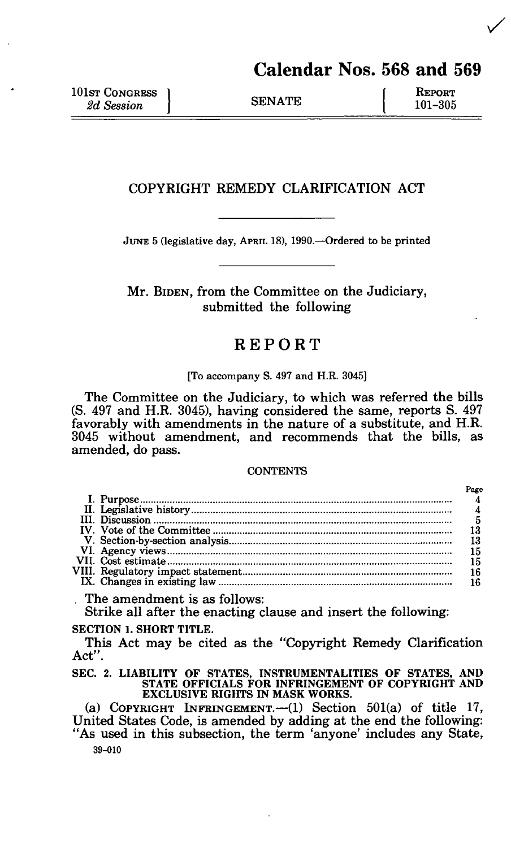# Calendar Nos. 568 and 569

NGRESS 1 f REPORT  $\frac{1}{2}$   $\frac{101-305}{2}$ 

# COPYRIGHT REMEDY CLARIFICATION ACT

JUNE 5 (legislative day, APRIL 18), 1990.—Ordered to be printed

Mr. BIDEN, from the Committee on the Judiciary, submitted the following

# REPORT

#### [To accompany S. 497 and H.R. 3045]

The Committee on the Judiciary, to which was referred the bills (S. 497 and H.R. 3045), having considered the same, reports S. 497 favorably with amendments in the nature of a substitute, and H.R. 3045 without amendment, and recommends that the bills, as amended, do pass.

#### **CONTENTS**

|                                        | Page |
|----------------------------------------|------|
|                                        |      |
|                                        |      |
|                                        |      |
|                                        |      |
|                                        |      |
|                                        |      |
|                                        |      |
|                                        |      |
|                                        |      |
| $\mathbf{m}$ . The set of $\mathbf{m}$ |      |

The amendment is as follows:

Strike all after the enacting clause and insert the following:

# **SECTION 1. SHORT TITLE.**

This Act may be cited as the "Copyright Remedy Clarification Act".

SEC. 2. **LIABILITY OF STATES, INSTRUMENTALITIES OF STATES, AND STATE OFFICIALS FOR INFRINGEMENT OF COPYRIGHT AND EXCLUSIVE RIGHTS IN MASK WORKS.** 

(a) COPYRIGHT INFRINGEMENT.—(1) Section 501(a) of title 17, United States Code, is amended by adding at the end the following: "As used in this subsection, the term 'anyone' includes any State, 39-010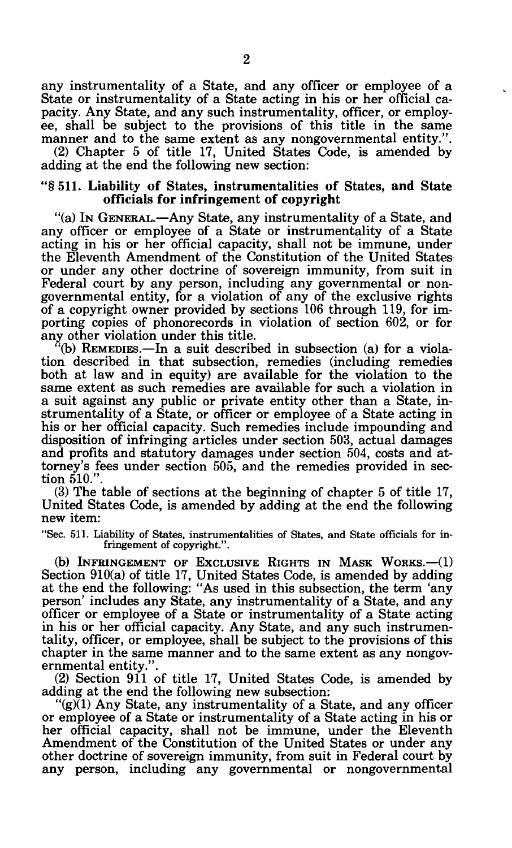any instrumentality of a State, and any officer or employee of a State or instrumentality of a State acting in his or her official capacity. Any State, and any such instrumentality, officer, or employee, shall be subject to the provisions of this title in the same manner and to the same extent as any nongovernmental entity.".

(2) Chapter 5 of title 17, United States Code, is amended by adding at the end the following new section:

## "§ 511. Liability of States, instrumentalities of States, and State officials for infringement of copyright

"(a) IN GENERAL.—Any State, any instrumentality of a State, and any officer or employee of a State or instrumentality of a State acting in his or her official capacity, shall not be immune, under the Eleventh Amendment of the Constitution of the United States or under any other doctrine of sovereign immunity, from suit in Federal court by any person, including any governmental or nongovernmental entity, for a violation of any of the exclusive rights of a copyright owner provided by sections 106 through 119, for importing copies of phonorecords in violation of section 602, or for any other violation under this title.

"(b) REMEDIES.—In a suit described in subsection (a) for a violation described in that subsection, remedies (including remedies both at law and in equity) are available for the violation to the same extent as such remedies are available for such a violation in a suit against any public or private entity other than a State, instrumentality of a State, or officer or employee of a State acting in his or her official capacity. Such remedies include impounding and disposition of infringing articles under section 503, actual damages and profits and statutory damages under section 504, costs and attorney's fees under section 505, and the remedies provided in section 510."

(3) The table of sections at the beginning of chapter 5 of title 17, United States Code, is amended by adding at the end the following new item:

"Sec. 511. Liability of States, instrumentalities of States, and State officials for infringement of copyright.".

(b) INFRINGEMENT OF EXCLUSIVE RIGHTS IN MASK WORKS.—(1) Section 910(a) of title 17, United States Code, is amended by adding at the end the following: "As used in this subsection, the term 'any person' includes any State, any instrumentality of a State, and any officer or employee of a State or instrumentality of a State acting in his or her official capacity. Any State, and any such instrumentality, officer, or employee, shall be subject to the provisions of this chapter in the same manner and to the same extent as any nongovernmental entity.".

(2) Section 911 of title 17, United States Code, is amended by adding at the end the following new subsection:

"(g)(1) Any State, any instrumentality of a State, and any officer or employee of a State or instrumentality of a State acting in his or her official capacity, shall not be immune, under the Eleventh Amendment of the Constitution of the United States or under any other doctrine of sovereign immunity, from suit in Federal court by any person, including any governmental or nongovernmental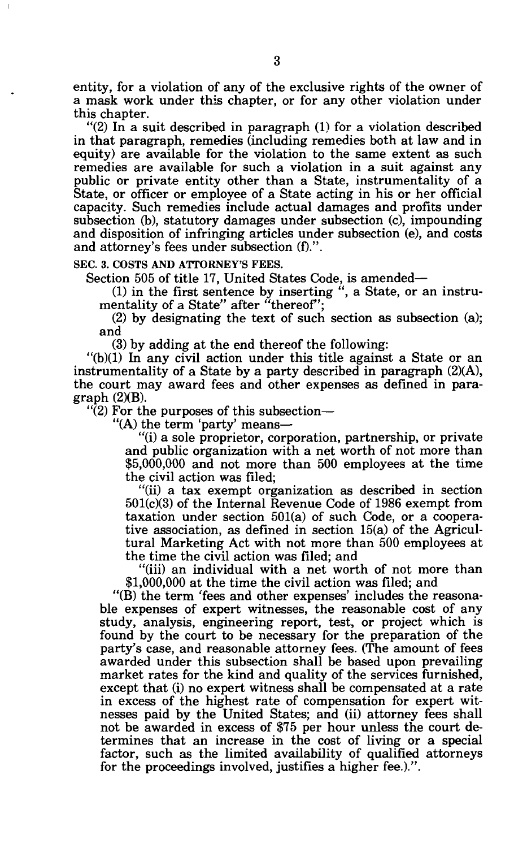entity, for a violation of any of the exclusive rights of the owner of a mask work under this chapter, or for any other violation under this chapter.

"(2) In a suit described in paragraph (1) for a violation described in that paragraph, remedies (including remedies both at law and in equity) are available for the violation to the same extent as such remedies are available for such a violation in a suit against any public or private entity other than a State, instrumentality of a State, or officer or employee of a State acting in his or her official capacity. Such remedies include actual damages and profits under subsection (b), statutory damages under subsection (c), impounding and disposition of infringing articles under subsection (e), and costs and attorney's fees under subsection (f).".

SEC. 3. COSTS AND ATTORNEY'S FEES.

Section 505 of title 17, United States Code, is amended—

(1) in the first sentence by inserting ", a State, or an instrumentality of a State" after "thereof";

(2) by designating the text of such section as subsection (a); and

(3) by adding at the end thereof the following:

"(b)(1) In any civil action under this title against a State or an instrumentality of a State by a party described in paragraph (2)(A), the court may award fees and other expenses as defined in paragraph (2)(B).

 $\cdot$ (2) For the purposes of this subsection—

"(A) the term 'party' means—

"(i) a sole proprietor, corporation, partnership, or private and public organization with a net worth of not more than \$5,000,000 and not more than 500 employees at the time the civil action was filed;

"(ii) a tax exempt organization as described in section 501(c)(3) of the Internal Revenue Code of 1986 exempt from taxation under section 501(a) of such Code, or a cooperative association, as defined in section 15(a) of the Agricultural Marketing Act with not more than 500 employees at the time the civil action was filed; and

"(iii) an individual with a net worth of not more than \$1,000,000 at the time the civil action was filed; and

"(B) the term 'fees and other expenses' includes the reasonable expenses of expert witnesses, the reasonable cost of any study, analysis, engineering report, test, or project which is found by the court to be necessary for the preparation of the party's case, and reasonable attorney fees. (The amount of fees awarded under this subsection shall be based upon prevailing market rates for the kind and quality of the services furnished, except that (i) no expert witness shall be compensated at a rate in excess of the highest rate of compensation for expert witnesses paid by the United States; and (ii) attorney fees shall not be awarded in excess of \$75 per hour unless the court determines that an increase in the cost of living or a special factor, such as the limited availability of qualified attorneys for the proceedings involved, justifies a higher fee.).".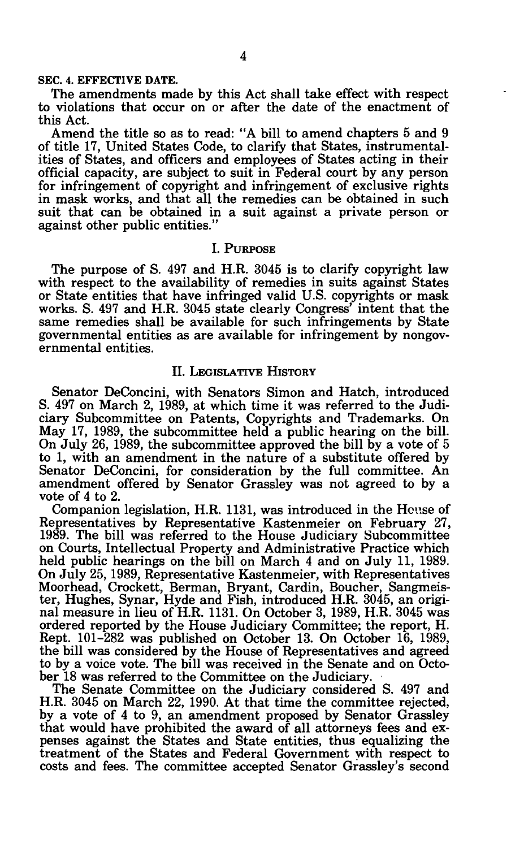#### **SEC. 4. EFFECTIVE DATE.**

The amendments made by this Act shall take effect with respect to violations that occur on or after the date of the enactment of this Act.

Amend the title so as to read: "A bill to amend chapters 5 and 9 of title 17, United States Code, to clarify that States, instrumentalities of States, and officers and employees of States acting in their official capacity, are subject to suit in Federal court by any person for infringement of copyright and infringement of exclusive rights in mask works, and that all the remedies can be obtained in such suit that can be obtained in a suit against a private person or against other public entities."

## I. PURPOSE

The purpose of S. 497 and H.R. 3045 is to clarify copyright law with respect to the availability of remedies in suits against States or State entities that have infringed valid U.S. copyrights or mask works. S. 497 and H.R. 3045 state clearly Congress' intent that the same remedies shall be available for such infringements by State governmental entities as are available for infringement by nongovernmental entities.

## II. LEGISLATIVE HISTORY

Senator DeConcini, with Senators Simon and Hatch, introduced S. 497 on March 2, 1989, at which time it was referred to the Judiciary Subcommittee on Patents, Copyrights and Trademarks. On May 17, 1989, the subcommittee held a public hearing on the bill. On July 26, 1989, the subcommittee approved the bill by a vote of 5 to 1, with an amendment in the nature of a substitute offered by Senator DeConcini, for consideration by the full committee. An amendment offered by Senator Grassley was not agreed to by a vote of 4 to 2.

Companion legislation, H.R. 1131, was introduced in the House of Representatives by Representative Kastenmeier on February 27, 1989. The bill was referred to the House Judiciary Subcommittee on Courts, Intellectual Property and Administrative Practice which held public hearings on the bill on March 4 and on July 11, 1989. On July 25,1989, Representative Kastenmeier, with Representatives Moorhead, Crockett, Berman, Bryant, Cardin, Boucher, Sangmeister, Hughes, Synar, Hyde and Fish, introduced H.R. 3045, an original measure in lieu of H.R. 1131. On October 3, 1989, H.R. 3045 was ordered reported by the House Judiciary Committee; the report, H. Rept. 101-282 was published on October 13. On October 16, 1989, the bill was considered by the House of Representatives and agreed to by a voice vote. The bill was received in the Senate and on October 18 was referred to the Committee on the Judiciary.

The Senate Committee on the Judiciary considered S. 497 and H.R. 3045 on March 22, 1990. At that time the committee rejected, by a vote of 4 to 9, an amendment proposed by Senator Grassley that would have prohibited the award of all attorneys fees and expenses against the States and State entities, thus equalizing the treatment of the States and Federal Government with respect to costs and fees. The committee accepted Senator Grassley's second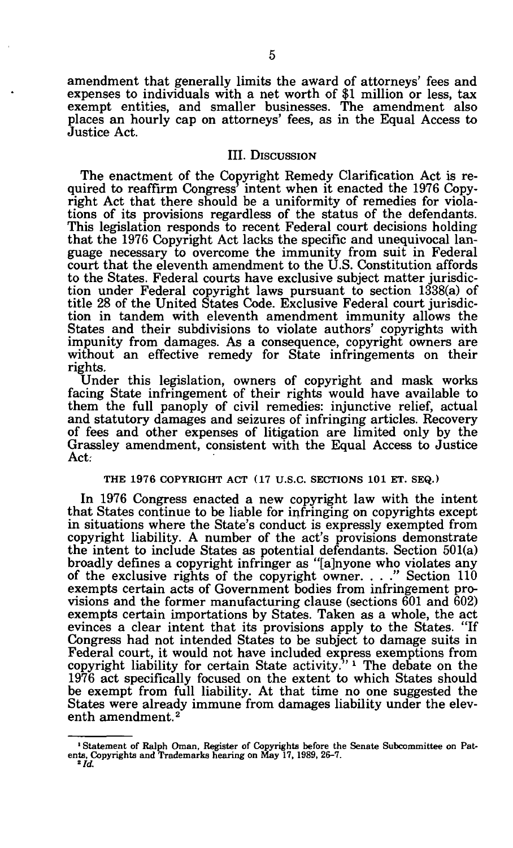amendment that generally limits the award of attorneys' fees and expenses to individuals with a net worth of \$1 million or less, tax exempt entities, and smaller businesses. The amendment also places an hourly cap on attorneys' fees, as in the Equal Access to Justice Act.

## III. DISCUSSION

The enactment of the Copyright Remedy Clarification Act is required to reaffirm Congress' intent when it enacted the 1976 Copyright Act that there should be a uniformity of remedies for violations of its provisions regardless of the status of the defendants. This legislation responds to recent Federal court decisions holding that the 1976 Copyright Act lacks the specific and unequivocal language necessary to overcome the immunity from suit in Federal court that the eleventh amendment to the U.S. Constitution affords to the States. Federal courts have exclusive subject matter jurisdiction under Federal copyright laws pursuant to section 1338(a) of title 28 of the United States Code. Exclusive Federal court jurisdiction in tandem with eleventh amendment immunity allows the States and their subdivisions to violate authors' copyrights with impunity from damages. As a consequence, copyright owners are without an effective remedy for State infringements on their rights.

Under this legislation, owners of copyright and mask works facing State infringement of their rights would have available to them the full panoply of civil remedies: injunctive relief, actual and statutory damages and seizures of infringing articles. Recovery of fees and other expenses of litigation are limited only by the Grassley amendment, consistent with the Equal Access to Justice Act:

## **THE** 1976 COPYRIGHT ACT (17 U.S.C. SECTIONS **101** ET. SEQ.)

In 1976 Congress enacted a new copyright law with the intent that States continue to be liable for infringing on copyrights except in situations where the State's conduct is expressly exempted from copyright liability. A number of the act's provisions demonstrate the intent to include States as potential defendants. Section 501(a) broadly defines a copyright infringer as "[a]nyone who violates any of the exclusive rights of the copyright owner. . . ." Section 110 exempts certain acts of Government bodies from infringement provisions and the former manufacturing clause (sections 601 and 602) exempts certain importations by States. Taken as a whole, the act evinces a clear intent that its provisions apply to the States. "If Congress had not intended States to be subject to damage suits in Federal court, it would not have included express exemptions from copyright liability for certain State activity."<sup>1</sup> The debate on the 1976 act specifically focused on the extent to which States should be exempt from full liability. At that time no one suggested the States were already immune from damages liability under the eleventh amendment.<sup>2</sup>

<sup>&</sup>lt;sup>1</sup> Statement of Ralph Oman, Register of Copyrights before the Senate Subcommittee on Patents, Copyrights and Trademarks hearing on May 17, 1989, 26-7.<br><sup>2</sup> Id.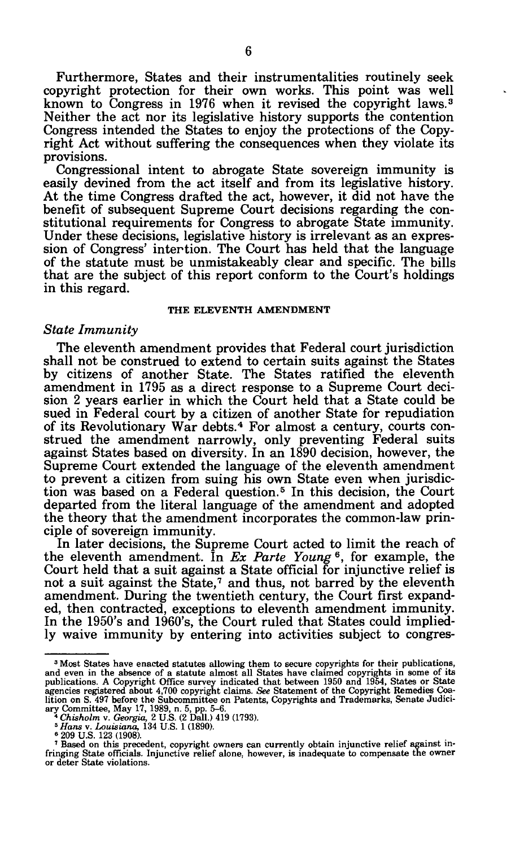Furthermore, States and their instrumentalities routinely seek copyright protection for their own works. This point was well known to Congress in 1976 when it revised the copyright laws.<sup>3</sup> Neither the act nor its legislative history supports the contention Congress intended the States to enjoy the protections of the Copyright Act without suffering the consequences when they violate its provisions.

Congressional intent to abrogate State sovereign immunity is easily devined from the act itself and from its legislative history. At the time Congress drafted the act, however, it did not have the benefit of subsequent Supreme Court decisions regarding the constitutional requirements for Congress to abrogate State immunity. Under these decisions, legislative history is irrelevant as an expression of Congress' intertion. The Court has held that the language of the statute must be unmistakeably clear and specific. The bills that are the subject of this report conform to the Court's holdings in this regard.

## **THE ELEVENTH AMENDMENT**

#### *State Immunity*

The eleventh amendment provides that Federal court jurisdiction shall not be construed to extend to certain suits against the States by citizens of another State. The States ratified the eleventh amendment in 1795 as a direct response to a Supreme Court decision 2 years earlier in which the Court held that a State could be sued in Federal court by a citizen of another State for repudiation of its Revolutionary War debts.<sup>4</sup> For almost a century, courts construed the amendment narrowly, only preventing Federal suits against States based on diversity. In an 1890 decision, however, the Supreme Court extended the language of the eleventh amendment to prevent a citizen from suing his own State even when jurisdiction was based on a Federal question.<sup>5</sup> In this decision, the Court departed from the literal language of the amendment and adopted the theory that the amendment incorporates the common-law principle of sovereign immunity.

In later decisions, the Supreme Court acted to limit the reach of the eleventh amendment. In *Ex Parte Young*<sup>6</sup>, for example, the Court held that a suit against a State official for injunctive relief is not a suit against the State,<sup>7</sup> and thus, not barred by the eleventh amendment. During the twentieth century, the Court first expanded, then contracted, exceptions to eleventh amendment immunity. In the 1950's and 1960's, the Court ruled that States could impliedly waive immunity by entering into activities subject to congres-

<sup>&</sup>lt;sup>3</sup> Most States have enacted statutes allowing them to secure copyrights for their publications, and even in the absence of a statute almost all States have claimed copyrights in some of its<br>publications. A Copyright Office survey indicated that between 1950 and 1954, States or State<br>agencies registered about 4,700 c

Based on this precedent, copyright owners can currently obtain injunctive relief against infringing State officials. Injunctive relief alone, however, is inadequate to compensate the owner or deter State violations.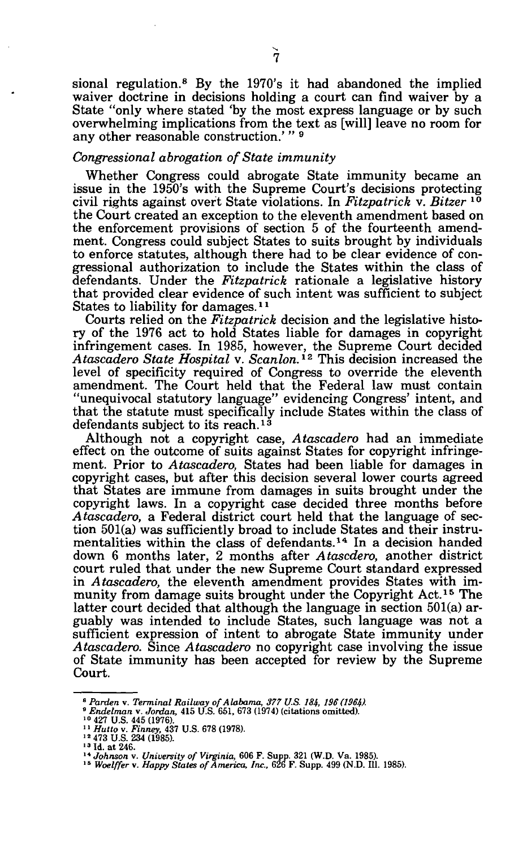sional regulation.<sup>8</sup> By the 1970's it had abandoned the implied waiver doctrine in decisions holding a court can find waiver by a State "only where stated 'by the most express language or by such overwhelming implications from the text as [will] leave no room for any other reasonable construction.'"<sup>9</sup>

## *Congressional abrogation of State immunity*

Whether Congress could abrogate State immunity became an issue in the 1950's with the Supreme Court's decisions protecting civil rights against overt State violations. In *Fitzpatrick* v. *Bitzer*<sup>10</sup> the Court created an exception to the eleventh amendment based on the enforcement provisions of section 5 of the fourteenth amendment. Congress could subject States to suits brought by individuals to enforce statutes, although there had to be clear evidence of congressional authorization to include the States within the class of defendants. Under the *Fitzpatrick* rationale a legislative history that provided clear evidence of such intent was sufficient to subject States to liability for damages.<sup>11</sup>

Courts relied on the *Fitzpatrick* decision and the legislative history of the 1976 act to hold States liable for damages in copyright infringement cases. In 1985, however, the Supreme Court decided *Atascadero State Hospital* v. *Scanlon.<sup>12</sup>* This decision increased the level of specificity required of Congress to override the eleventh amendment. The Court held that the Federal law must contain "unequivocal statutory language" evidencing Congress' intent, and that the statute must specifically include States within the class of defendants subject to its reach.*<sup>1</sup>*<sup>3</sup>

Although not a copyright case, *Atascadero* had an immediate effect on the outcome of suits against States for copyright infringement. Prior to *Atascadero,* States had been liable for damages in copyright cases, but after this decision several lower courts agreed that States are immune from damages in suits brought under the copyright laws. In a copyright case decided three months before *Atascadero,* a Federal district court held that the language of section 501(a) was sufficiently broad to include States and their instrumentalities within the class of defendants.<sup>14</sup> In a decision handed down 6 months later, 2 months after *Atascdero,* another district court ruled that under the new Supreme Court standard expressed in *Atascadero,* the eleventh amendment provides States with immunity from damage suits brought under the Copyright Act.<sup>15</sup> The latter court decided that although the language in section 501(a) arguably was intended to include States, such language was not a sufficient expression of intent to abrogate State immunity under *Atascadero.* Since *Atascadero* no copyright case involving the issue of State immunity has been accepted for review by the Supreme Court.

<sup>&</sup>lt;sup>8</sup> Parden v. Terminal Railway of Alabama, 377 U.S. 184, 196 (1964).<br><sup>9</sup> Endelman v. Jordan, 415 U.S. 651, 673 (1974) (citations omitted).<br><sup>10</sup> 427 U.S. 445 (1976).<br><sup>11</sup> Hutto v. Finney, 437 U.S. 678 (1978).<br><sup>12</sup> 473 U.S.

<sup>&</sup>lt;sup>13</sup> Id. at 246.

<sup>&</sup>lt;sup>14</sup> Johnson v*. University of Virginia,* 606 F. Supp. 321 (W.D. Va. 1985).<br><sup>15</sup> Woelffer v. Happy States of America, Inc., 626 F. Supp. 499 (N.D. 111. 1985).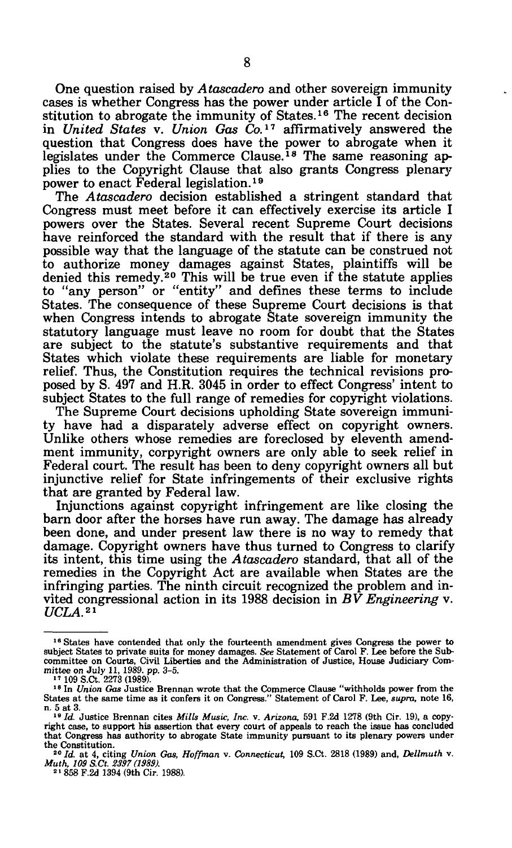One question raised by *Atascadero* and other sovereign immunity cases is whether Congress has the power under article I of the Constitution to abrogate the immunity of States.<sup>16</sup> The recent decision in *United States* v. *Union Gas Co.<sup>11</sup>* affirmatively answered the question that Congress does have the power to abrogate when it legislates under the Commerce Clause.<sup>18</sup> The same reasoning applies to the Copyright Clause that also grants Congress plenary power to enact Federal legislation.<sup>19</sup>

The *Atascadero* decision established a stringent standard that Congress must meet before it can effectively exercise its article I powers over the States. Several recent Supreme Court decisions have reinforced the standard with the result that if there is any possible way that the language of the statute can be construed not to authorize money damages against States, plaintiffs will be denied this remedy.<sup>20</sup> This will be true even if the statute applies to "any person" or "entity" and defines these terms to include States. The consequence of these Supreme Court decisions is that when Congress intends to abrogate State sovereign immunity the statutory language must leave no room for doubt that the States are subject to the statute's substantive requirements and that States which violate these requirements are liable for monetary relief. Thus, the Constitution requires the technical revisions proposed by S. 497 and H.R. 3045 in order to effect Congress' intent to subject States to the full range of remedies for copyright violations.

The Supreme Court decisions upholding State sovereign immunity have had a disparately adverse effect on copyright owners. Unlike others whose remedies are foreclosed by eleventh amendment immunity, corpyright owners are only able to seek relief in Federal court. The result has been to deny copyright owners all but injunctive relief for State infringements of their exclusive rights that are granted by Federal law.

Injunctions against copyright infringement are like closing the barn door after the horses have run away. The damage has already been done, and under present law there is no way to remedy that damage. Copyright owners have thus turned to Congress to clarify its intent, this time using the *Atascadero* standard, that all of the remedies in the Copyright Act are available when States are the infringing parties. The ninth circuit recognized the problem and invited congressional action in its 1988 decision in *BV Engineering* v. *UCLA.<sup>21</sup>*

<sup>&</sup>lt;sup>16</sup> States have contended that only the fourteenth amendment gives Congress the power to subject States to private suits for money damages. See Statement of Carol F. Lee before the Subcommittee on Courts, Civil Liberties mittee on July 11, 1989. pp. 3–5.<br>
<sup>17</sup> 109 S.Ct. 2273 (1989).

<sup>&</sup>lt;sup>18</sup> In *Union Gas* Justice Brennan wrote that the Commerce Clause "withholds power from the States at the same time as it confers it on Congress." Statement of Carol F. Lee, *supra,* note 16, n. 5 at 3.

<sup>&</sup>lt;sup>19</sup> Id. Justice Brennan cites Mills Music, Inc. v. Arizona, 591 F.2d 1278 (9th Cir. 19), a copyright case, to support his assertion that every court of appeals to reach the issue has concluded that Congress has authority to abrogate State immunity pursuant to its plenary powers under the Constitution.

<sup>20</sup>  *Id.* at 4, citing *Union Gas, Hoffman* v. *Connecticut,* 109 S.Ct. 2818 (1989) and, *Dellmuth* v. *Muth, 109 S.Ct. 2397 (1989).*  21 858 F.2d 1394 (9th Cir. 1988).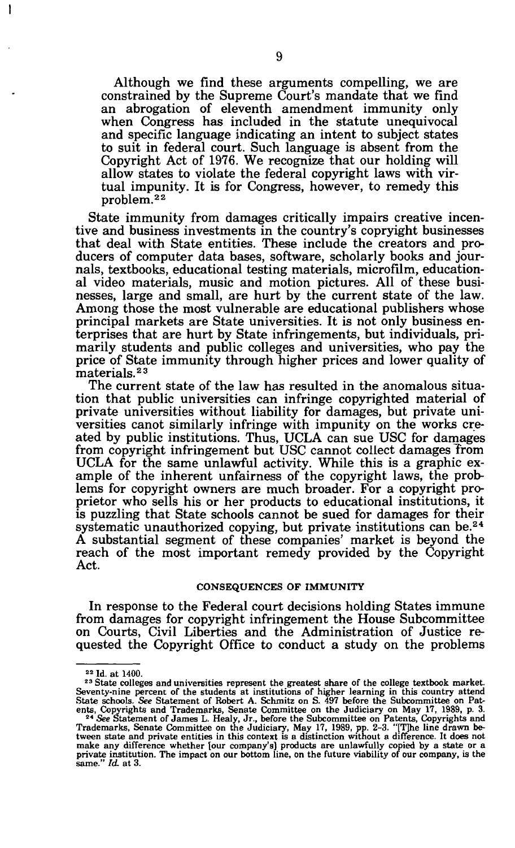Although we find these arguments compelling, we are constrained by the Supreme Court's mandate that we find an abrogation of eleventh amendment immunity only when Congress has included in the statute unequivocal and specific language indicating an intent to subject states to suit in federal court. Such language is absent from the Copyright Act of 1976. We recognize that our holding will allow states to violate the federal copyright laws with virtual impunity. It is for Congress, however, to remedy this problem.<sup>22</sup>

State immunity from damages critically impairs creative incentive and business investments in the country's copryight businesses that deal with State entities. These include the creators and producers of computer data bases, software, scholarly books and journals, textbooks, educational testing materials, microfilm, educational video materials, music and motion pictures. All of these businesses, large and small, are hurt by the current state of the law. Among those the most vulnerable are educational publishers whose principal markets are State universities. It is not only business enterprises that are hurt by State infringements, but individuals, primarily students and public colleges and universities, who pay the price of State immunity through higher prices and lower quality of materials.<sup>23</sup>

The current state of the law has resulted in the anomalous situation that public universities can infringe copyrighted material of private universities without liability for damages, but private universities canot similarly infringe with impunity on the works created by public institutions. Thus, UCLA can sue USC for damages from copyright infringement but USC cannot collect damages Trom UCLA for the same unlawful activity. While this is a graphic example of the inherent unfairness of the copyright laws, the problems for copyright owners are much broader. For a copyright proprietor who sells his or her products to educational institutions, it is puzzling that State schools cannot be sued for damages for their systematic unauthorized copying, but private institutions can be.<sup>24</sup> A substantial segment of these companies' market is beyond the reach of the most important remedy provided by the Copyright Act.

#### CONSEQUENCES OF IMMUNITY

In response to the Federal court decisions holding States immune from damages for copyright infringement the House Subcommittee on Courts, Civil Liberties and the Administration of Justice requested the Copyright Office to conduct a study on the problems

ł

<sup>22</sup> Id. at 1400.

*<sup>23</sup>* State colleges and universities represent the greatest share of the college textbook market.

Seventy-nine percent of the students at institutions of higher learning in this country attend<br>State schools. See Statement of Robert A. Schmitz on S. 497 before the Subcommittee on Pat-<br>ents, Copyrights and Trademarks, S make any difference whether [our company's] products are unlawfully copied by a state or a private institution. The impact on our bottom line, on the future viability of our company, is the same." *Id* at 3.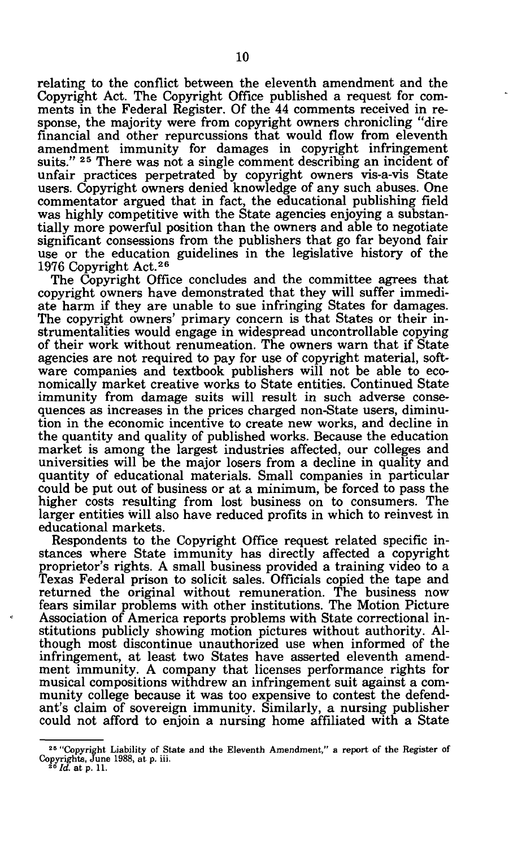relating to the conflict between the eleventh amendment and the Copyright Act. The Copyright Office published a request for comments in the Federal Register. Of the 44 comments received in response, the majority were from copyright owners chronicling "dire financial and other repurcussions that would flow from eleventh amendment immunity for damages in copyright infringement suits." <sup>25</sup> There was not a single comment describing an incident of unfair practices perpetrated by copyright owners vis-a-vis State users. Copyright owners denied knowledge of any such abuses. One commentator argued that in fact, the educational publishing field was highly competitive with the State agencies enjoying a substantially more powerful position than the owners and able to negotiate significant consessions from the publishers that go far beyond fair use or the education guidelines in the legislative history of the 1976 Copyright Act.<sup>26</sup>

The Copyright Office concludes and the committee agrees that copyright owners have demonstrated that they will suffer immediate harm if they are unable to sue infringing States for damages. The copyright owners' primary concern is that States or their instrumentalities would engage in widespread uncontrollable copying of their work without renumeation. The owners warn that if State agencies are not required to pay for use of copyright material, software companies and textbook publishers will not be able to economically market creative works to State entities. Continued State immunity from damage suits will result in such adverse consequences as increases in the prices charged non-State users, diminution in the economic incentive to create new works, and decline in the quantity and quality of published works. Because the education market is among the largest industries affected, our colleges and universities will be the major losers from a decline in quality and quantity of educational materials. Small companies in particular could be put out of business or at a minimum, be forced to pass the higher costs resulting from lost business on to consumers. The larger entities will also have reduced profits in which to reinvest in educational markets.

Respondents to the Copyright Office request related specific instances where State immunity has directly affected a copyright proprietor's rights. A small business provided a training video to a Texas Federal prison to solicit sales. Officials copied the tape and returned the original without remuneration. The business now fears similar problems with other institutions. The Motion Picture Association of America reports problems with State correctional institutions publicly showing motion pictures without authority. Although most discontinue unauthorized use when informed of the infringement, at least two States have asserted eleventh amendment immunity. A company that licenses performance rights for musical compositions withdrew an infringement suit against a community college because it was too expensive to contest the defendant's claim of sovereign immunity. Similarly, a nursing publisher could not afford to enjoin a nursing home affiliated with a State

<sup>&</sup>lt;sup>25</sup> "Copyright Liability of State and the Eleventh Amendment," a report of the Register of Copyrights, June 1988, at p. iii. <sup>26</sup>  *Id.* at p. 11.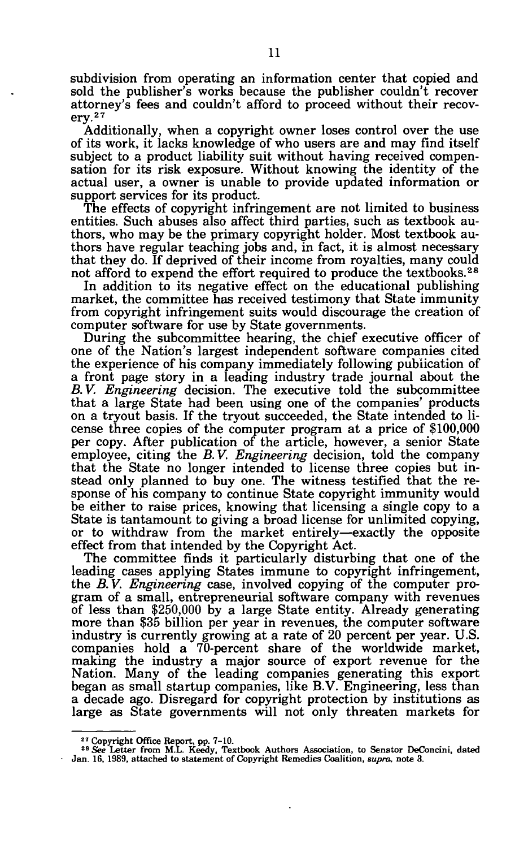subdivision from operating an information center that copied and sold the publisher's works because the publisher couldn't recover attorney's fees and couldn't afford to proceed without their recovery.<sup>27</sup>

Additionally, when a copyright owner loses control over the use of its work, it lacks knowledge of who users are and may find itself subject to a product liability suit without having received compensation for its risk exposure. Without knowing the identity of the actual user, a owner is unable to provide updated information or support services for its product.

The effects of copyright infringement are not limited to business entities. Such abuses also affect third parties, such as textbook authors, who may be the primary copyright holder. Most textbook authors have regular teaching jobs and, in fact, it is almost necessary that they do. If deprived of their income from royalties, many could not afford to expend the effort required to produce the textbooks.<sup>28</sup>

In addition to its negative effect on the educational publishing market, the committee has received testimony that State immunity from copyright infringement suits would discourage the creation of computer software for use by State governments.

During the subcommittee hearing, the chief executive officer of one of the Nation's largest independent software companies cited the experience of his company immediately following publication of a front page story in a leading industry trade journal about the *B.V. Engineering* decision. The executive told the subcommittee that a large State had been using one of the companies' products on a tryout basis. If the tryout succeeded, the State intended to license three copies of the computer program at a price of \$100,000 per copy. After publication of the article, however, a senior State employee, citing the *B.V. Engineering* decision, told the company that the State no longer intended to license three copies but instead only planned to buy one. The witness testified that the response of his company to continue State copyright immunity would be either to raise prices, knowing that licensing a single copy to a State is tantamount to giving a broad license for unlimited copying, or to withdraw from the market entirely—exactly the opposite effect from that intended by the Copyright Act.

The committee finds it particularly disturbing that one of the leading cases applying States immune to copyright infringement, the *B. V. Engineering* case, involved copying of the computer program of a small, entrepreneurial software company with revenues of less than \$250,000 by a large State entity. Already generating more than \$35 billion per year in revenues, the computer software industry is currently growing at a rate of 20 percent per year. U.S. companies hold a 70-percent share of the worldwide market, making the industry a major source of export revenue for the Nation. Many of the leading companies generating this export began as small startup companies, like B.V. Engineering, less than a decade ago. Disregard for copyright protection by institutions as large as State governments will not only threaten markets for

<sup>&</sup>lt;sup>27</sup> Copyright Office Report, pp. 7-10.<br><sup>28</sup> See Letter from M.L. Keedy, Textbook Authors Association, to Senator DeConcini, dated<br>Jan. 16, 1989, attached to statement of Copyright Remedies Coalition, *supra*, note 3.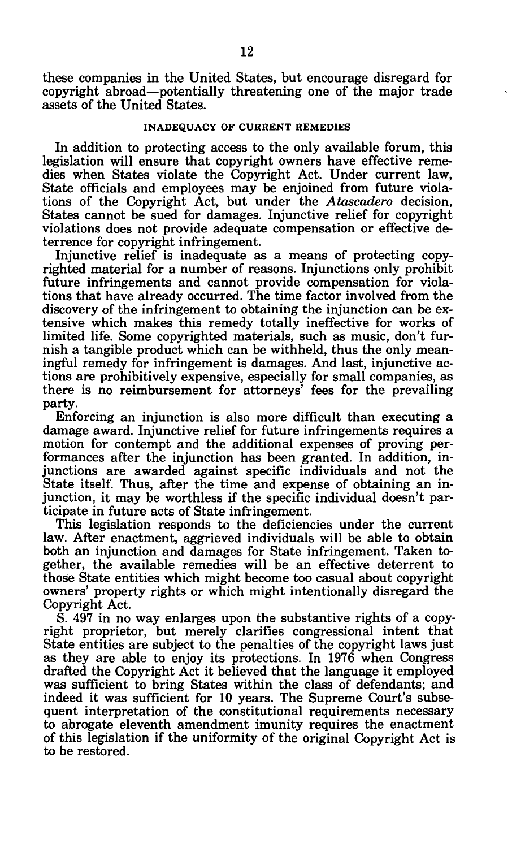these companies in the United States, but encourage disregard for copyright abroad—potentially threatening one of the major trade assets of the United States.

# **INADEQUACY OF CURRENT REMEDIES**

In addition to protecting access to the only available forum, this legislation will ensure that copyright owners have effective remedies when States violate the Copyright Act. Under current law, State officials and employees may be enjoined from future violations of the Copyright Act, but under the *Atascadero* decision, States cannot be sued for damages. Injunctive relief for copyright violations does not provide adequate compensation or effective deterrence for copyright infringement.

Injunctive relief is inadequate as a means of protecting copyrighted material for a number of reasons. Injunctions only prohibit future infringements and cannot provide compensation for violations that have already occurred. The time factor involved from the discovery of the infringement to obtaining the injunction can be extensive which makes this remedy totally ineffective for works of limited life. Some copyrighted materials, such as music, don't furnish a tangible product which can be withheld, thus the only meaningful remedy for infringement is damages. And last, injunctive actions are prohibitively expensive, especially for small companies, as there is no reimbursement for attorneys' fees for the prevailing party.

Enforcing an injunction is also more difficult than executing a damage award. Injunctive relief for future infringements requires a motion for contempt and the additional expenses of proving performances after the injunction has been granted. In addition, injunctions are awarded against specific individuals and not the State itself. Thus, after the time and expense of obtaining an injunction, it may be worthless if the specific individual doesn't participate in future acts of State infringement.

This legislation responds to the deficiencies under the current law. After enactment, aggrieved individuals will be able to obtain both an injunction and damages for State infringement. Taken together, the available remedies will be an effective deterrent to those State entities which might become too casual about copyright owners' property rights or which might intentionally disregard the Copyright Act.

S. 497 in no way enlarges upon the substantive rights of a copyright proprietor, but merely clarifies congressional intent that State entities are subject to the penalties of the copyright laws just as they are able to enjoy its protections. In 1976 when Congress drafted the Copyright Act it believed that the language it employed was sufficient to bring States within the class of defendants; and indeed it was sufficient for 10 years. The Supreme Court's subsequent interpretation of the constitutional requirements necessary to abrogate eleventh amendment imunity requires the enactment of this legislation if the uniformity of the original Copyright Act is to be restored.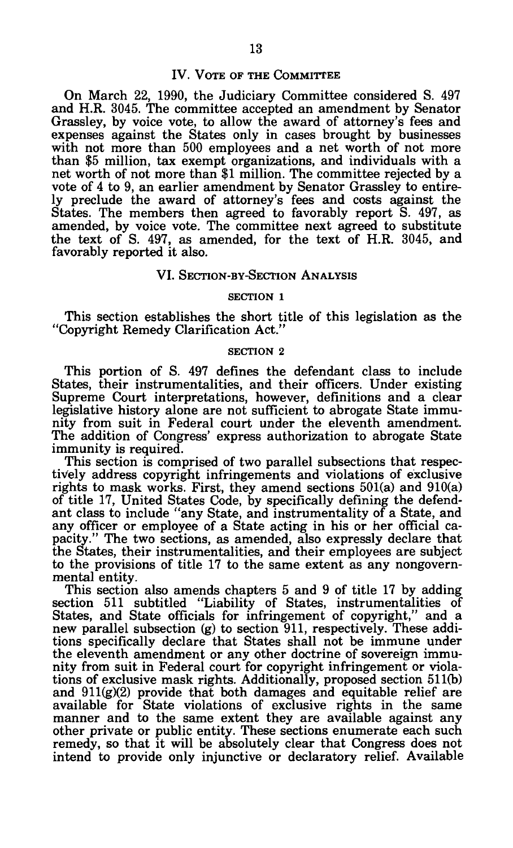## IV. VOTE OF THE COMMITTEE

On March 22, 1990, the Judiciary Committee considered S. 497 and H.R. 3045. The committee accepted an amendment by Senator Grassley, by voice vote, to allow the award of attorney's fees and expenses against the States only in cases brought by businesses with not more than 500 employees and a net worth of not more than \$5 million, tax exempt organizations, and individuals with a net worth of not more than \$1 million. The committee rejected by a vote of 4 to 9, an earlier amendment by Senator Grassley to entirely preclude the award of attorney's fees and costs against the States. The members then agreed to favorably report S. 497, as amended, by voice vote. The committee next agreed to substitute the text of S. 497, as amended, for the text of H.R. 3045, and favorably reported it also.

## VI. SECTION-BY-SECTION ANALYSIS

#### SECTION I

This section establishes the short title of this legislation as the "Copyright Remedy Clarification Act."

#### SECTION 2

This portion of S. 497 defines the defendant class to include States, their instrumentalities, and their officers. Under existing Supreme Court interpretations, however, definitions and a clear legislative history alone are not sufficient to abrogate State immunity from suit in Federal court under the eleventh amendment. The addition of Congress' express authorization to abrogate State immunity is required.

This section is comprised of two parallel subsections that respectively address copyright infringements and violations of exclusive rights to mask works. First, they amend sections 501(a) and 910(a) of title 17, United States Code, by specifically defining the defendant class to include "any State, and instrumentality of a State, and any officer or employee of a State acting in his or her official capacity." The two sections, as amended, also expressly declare that the States, their instrumentalities, and their employees are subject to the provisions of title 17 to the same extent as any nongovernmental entity.

This section also amends chapters 5 and 9 of title 17 by adding section 511 subtitled "Liability of States, instrumentalities of States, and State officials for infringement of copyright," and a new parallel subsection (g) to section 911, respectively. These additions specifically declare that States shall not be immune under the eleventh amendment or any other doctrine of sovereign immunity from suit in Federal court for copyright infringement or violations of exclusive mask rights. Additionally, proposed section 511(b) and 911(g)(2) provide that both damages and equitable relief are available for State violations of exclusive rights in the same manner and to the same extent they are available against any other private or public entity. These sections enumerate each such remedy, so that it will be absolutely clear that Congress does not intend to provide only injunctive or declaratory relief. Available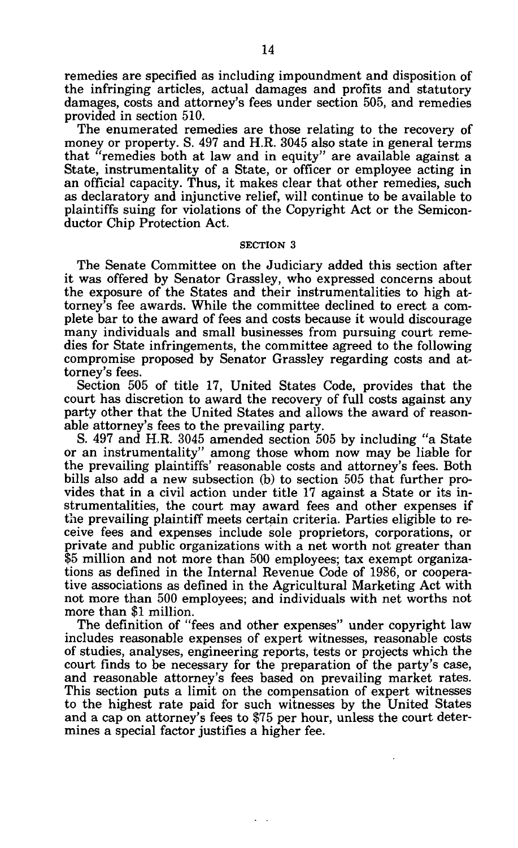remedies are specified as including impoundment and disposition of the infringing articles, actual damages and profits and statutory damages, costs and attorney's fees under section 505, and remedies provided in section 510.

The enumerated remedies are those relating to the recovery of money or property. S. 497 and H.R. 3045 also state in general terms that "remedies both at law and in equity" are available against a State, instrumentality of a State, or officer or employee acting in an official capacity. Thus, it makes clear that other remedies, such as declaratory and injunctive relief, will continue to be available to plaintiffs suing for violations of the Copyright Act or the Semiconductor Chip Protection Act.

#### SECTION 3

The Senate Committee on the Judiciary added this section after it was offered by Senator Grassley, who expressed concerns about the exposure of the States and their instrumentalities to high attorney's fee awards. While the committee declined to erect a complete bar to the award of fees and costs because it would discourage many individuals and small businesses from pursuing court remedies for State infringements, the committee agreed to the following compromise proposed by Senator Grassley regarding costs and attorney's fees.

Section 505 of title 17, United States Code, provides that the court has discretion to award the recovery of full costs against any party other that the United States and allows the award of reasonable attorney's fees to the prevailing party.

S. 497 and H.R. 3045 amended section 505 by including "a State or an instrumentality" among those whom now may be liable for the prevailing plaintiffs' reasonable costs and attorney's fees. Both bills also add a new subsection (b) to section 505 that further provides that in a civil action under title 17 against a State or its instrumentalities, the court may award fees and other expenses if the prevailing plaintiff meets certain criteria. Parties eligible to receive fees and expenses include sole proprietors, corporations, or private and public organizations with a net worth not greater than \$5 million and not more than 500 employees; tax exempt organizations as defined in the Internal Revenue Code of 1986, or cooperative associations as defined in the Agricultural Marketing Act with not more than 500 employees; and individuals with net worths not more than \$1 million.

The definition of "fees and other expenses" under copyright law includes reasonable expenses of expert witnesses, reasonable costs of studies, analyses, engineering reports, tests or projects which the court finds to be necessary for the preparation of the party's case, and reasonable attorney's fees based on prevailing market rates. This section puts a limit on the compensation of expert witnesses to the highest rate paid for such witnesses by the United States and a cap on attorney's fees to \$75 per hour, unless the court determines a special factor justifies a higher fee.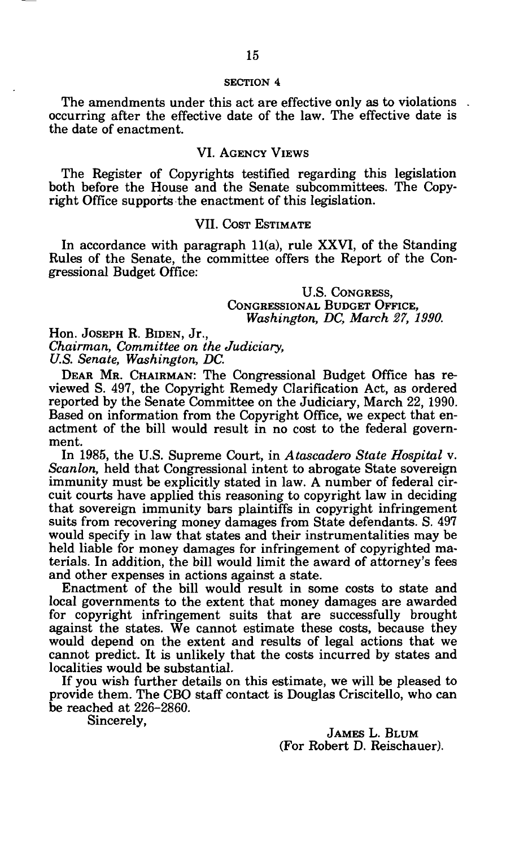The amendments under this act are effective only as to violations occurring after the effective date of the law. The effective date is the date of enactment.

# VI. AGENCY VIEWS

The Register of Copyrights testified regarding this legislation both before the House and the Senate subcommittees. The Copyright Office supports the enactment of this legislation.

# VII. COST ESTIMATE

In accordance with paragraph 11(a), rule XXVI, of the Standing Rules of the Senate, the committee offers the Report of the Congressional Budget Office:

> U.S. CONGRESS, CONGRESSIONAL BUDGET OFFICE, *Washington, DC, March 27, 1990.*

Hon. JOSEPH R. BIDEN, Jr., *Chairman, Committee on the Judiciary, U.S. Senate, Washington, DC.* 

DEAR MR. CHAIRMAN: The Congressional Budget Office has reviewed S. 497, the Copyright Remedy Clarification Act, as ordered reported by the Senate Committee on the Judiciary, March 22, 1990. Based on information from the Copyright Office, we expect that enactment of the bill would result in no cost to the federal government.

In 1985, the U.S. Supreme Court, in *Atascadero State Hospital* v. *Scanlon,* held that Congressional intent to abrogate State sovereign immunity must be explicitly stated in law. A number of federal circuit courts have applied this reasoning to copyright law in deciding that sovereign immunity bars plaintiffs in copyright infringement suits from recovering money damages from State defendants. S. 497 would specify in law that states and their instrumentalities may be held liable for money damages for infringement of copyrighted materials. In addition, the bill would limit the award of attorney's fees and other expenses in actions against a state.

Enactment of the bill would result in some costs to state and local governments to the extent that money damages are awarded for copyright infringement suits that are successfully brought against the states. We cannot estimate these costs, because they would depend on the extent and results of legal actions that we cannot predict. It is unlikely that the costs incurred by states and localities would be substantial.

If you wish further details on this estimate, we will be pleased to provide them. The CBO staff contact is Douglas Criscitello, who can be reached at 226-2860.

Sincerely,

JAMES L. BLUM (For Robert D. Reischauer).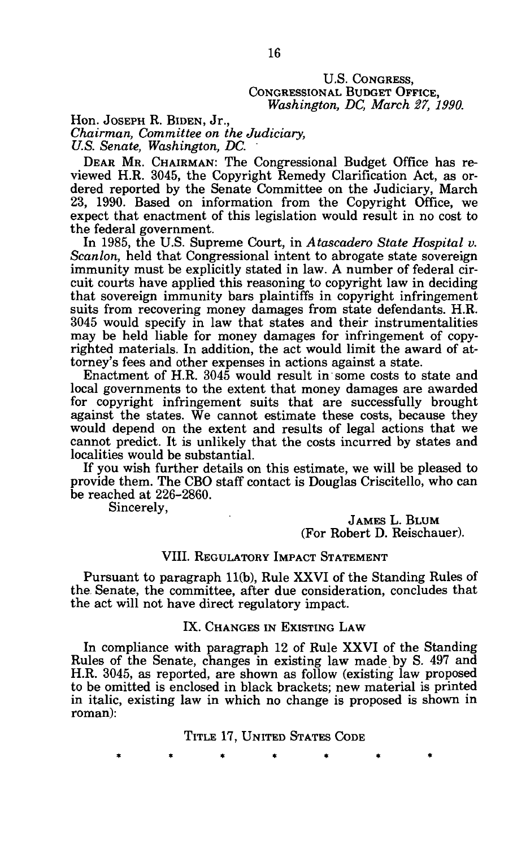## U.S. CONGRESS, CONGRESSIONAL BUDGET OFFICE, *Washington, DC, March 27, 1990.*

Hon. JOSEPH R. BIDEN, Jr., *Chairman, Committee on the Judiciary, U.S. Senate, Washington, DC.* 

DEAR MR. CHAIRMAN: The Congressional Budget Office has reviewed H.R. 3045, the Copyright Remedy Clarification Act, as ordered reported by the Senate Committee on the Judiciary, March 23, 1990. Based on information from the Copyright Office, we expect that enactment of this legislation would result in no cost to the federal government.

In 1985, the U.S. Supreme Court, in *Atascadero State Hospital v. Scanlon,* held that Congressional intent to abrogate state sovereign immunity must be explicitly stated in law. A number of federal circuit courts have applied this reasoning to copyright law in deciding that sovereign immunity bars plaintiffs in copyright infringement suits from recovering money damages from state defendants. H.R. 3045 would specify in law that states and their instrumentalities may be held liable for money damages for infringement of copyrighted materials. In addition, the act would limit the award of attorney's fees and other expenses in actions against a state.

Enactment of H.R. 3045 would result in some costs to state and local governments to the extent that money damages are awarded for copyright infringement suits that are successfully brought against the states. We cannot estimate these costs, because they would depend on the extent and results of legal actions that we cannot predict. It is unlikely that the costs incurred by states and localities would be substantial.

If you wish further details on this estimate, we will be pleased to provide them. The CBO staff contact is Douglas Criscitello, who can be reached at 226-2860.

Sincerely,

JAMES L. BLUM (For Robert D. Reischauer).

# VIII. REGULATORY IMPACT STATEMENT

Pursuant to paragraph 11(b), Rule XXVI of the Standing Rules of the Senate, the committee, after due consideration, concludes that the act will not have direct regulatory impact.

## IX. CHANGES IN EXISTING LAW

In compliance with paragraph 12 of Rule XXVI of the Standing Rules of the Senate, changes in existing law made by S. 497 and H.R. 3045, as reported, are shown as follow (existing law proposed to be omitted is enclosed in black brackets; new material is printed in italic, existing law in which no change is proposed is shown in roman):

TITLE 17, UNITED STATES CODE

\*\*\*\* \*\*\* \*\* \*\* \*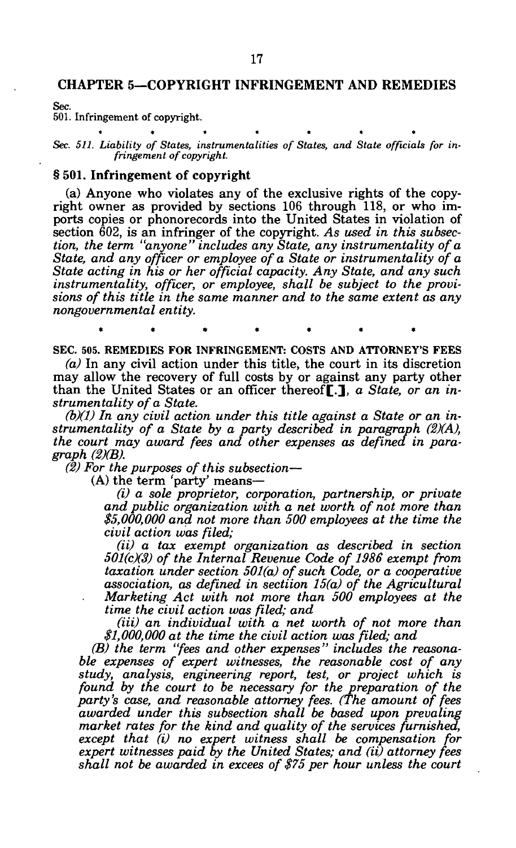Sec.

501. Infringement of copyright.

*Sec. 511. Liability of States, instrumentalities of States, and State officials for infringement of copyright.* 

## § 501. Infringement of copyright

(a) Anyone who violates any of the exclusive rights of the copyright owner as provided by sections 106 through 118, or who imports copies or phonorecords into the United States in violation of section 602, is an infringer of the copyright. *As used in this subsection, the term "anyone" includes any State, any instrumentality of a State, and any officer or employee of a State or instrumentality of a State acting in his or her official capacity. Any State, and any such instrumentality, officer, or employee, shall be subject to the provisions of this title in the same manner and to the same extent as any nongovernmental entity.* 

SEC. 505. REMEDIES FOR INFRINGEMENT: COSTS AND ATTORNEYS FEES

**\*\*\*\*\*\* \*** 

*(a)* In any civil action under this title, the court in its discretion may allow the recovery of full costs by or against any party other than the United States or an officer thereof[.], *a State, or an instrumentality of a State.* 

*(b)(1) In any civil action under this title against a State or an instrumentality of a State by a party described in paragraph (2)(A), the court may award fees and other expenses as defined in paragraph (2)(B).* 

*(2) For the purposes of this subsection*—

(A) the term 'party' means—

*(i) a sole proprietor, corporation, partnership, or private and public organization with a net worth of not more than \$5,000,000 and not more than 500 employees at the time the civil action was filed;* 

*(ii) a tax exempt organization as described in section 501(c)(3) of the Internal Revenue Code of 1986 exempt from taxation under section 501(a) of such Code, or a cooperative association, as defined in sectiion 15(a) of the Agricultural Marketing Act with not more than 500 employees at the time the civil action was filed; and* 

*(Hi) an individual with a net worth of not more than \$1,000,000 at the time the civil action was filed; and* 

*(B) the term "fees and other expenses" includes the reasonable expenses of expert witnesses, the reasonable cost of any study, analysis, engineering report, test, or project which is found by the court to be necessary for the preparation of the party's case, and reasonable attorney fees. (The amount of fees awarded under this subsection shall be based upon prevaling market rates for the kind and quality of the services furnished, except that (i) no expert witness shall be compensation for expert witnesses paid by the United States; and (it) attorney fees shall not be awarded in excees of \$75 per hour unless the court*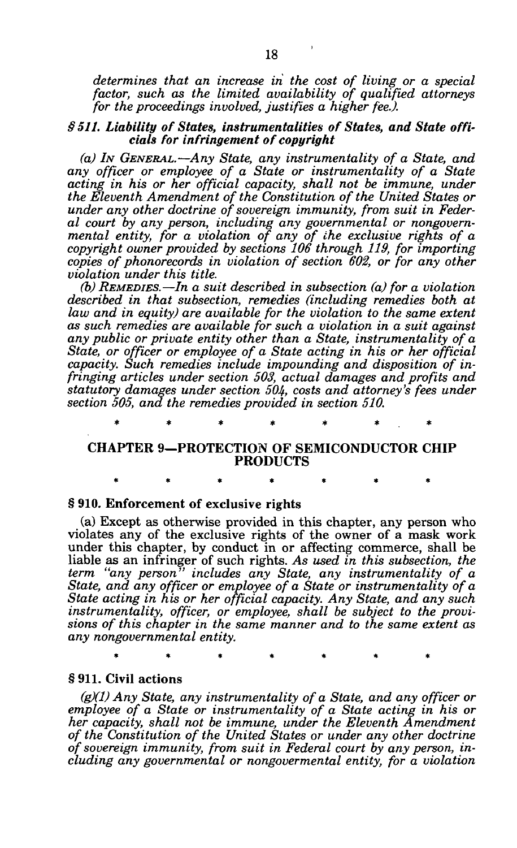*determines that an increase in the cost of living or a special factor, such as the limited availability of qualified attorneys for the proceedings involved, justifies a higher fee J.* 

## *§ 511. Liability of States, instrumentalities of States, and State officials for infringement of copyright*

*(a) IN GENERAL.*—*Any State, any instrumentality of a State, and any officer or employee of a State or instrumentality of a State*  acting in his or her official capacity, shall not be immune, under *the Eleventh Amendment of the Constitution of the United States or under any other doctrine of sovereign immunity, from suit in Federal court by any person, including any governmental or nongovernmental entity, for a violation of any of the exclusive rights of a copyright owner provided by sections 106 through 119, for importing copies of phonorecords in violation of section 602, or for any other violation under this title.* 

*(b) REMEDIES.*—*In a suit described in subsection (a) for a violation described in that subsection, remedies (including remedies both at law and in equity) are available for the violation to the same extent as such remedies are available for such a violation in a suit against any public or private entity other than a State, instrumentality of a State, or officer or employee of a State acting in his or her official capacity. Such remedies include impounding and disposition of infringing articles under section 503, actual damages and profits and statutory damages under section 504, costs and attorney's fees under section 505, and the remedies provided in section 510.* 

**\* \* \* \* \* \* \*** 

# **CHAPTER 9—PROTECTION OF SEMICONDUCTOR CHIP PRODUCTS**

**\*\*\*\*\*\* \*** 

## **§ 910. Enforcement of exclusive rights**

(a) Except as otherwise provided in this chapter, any person who violates any of the exclusive rights of the owner of a mask work under this chapter, by conduct in or affecting commerce, shall be liable as an infringer of such rights. *As used in this subsection, the term "any person" includes any State, any instrumentality of a State, and any officer or employee of a State or instrumentality of a State acting in his or her official capacity. Any State, and any such instrumentality, officer, or employee, shall be subject to the provisions of this chapter in the same manner and to the same extent as any nongovernmental entity.* 

**\*\*\*\*\*\* \*** 

# § **911. Civil actions**

*(g)(1) Any State, any instrumentality of a State, and any officer or employee of a State or instrumentality of a State acting in his or her capacity, shall not be immune, under the Eleventh Amendment of the Constitution of the United States or under any other doctrine of sovereign immunity, from suit in Federal court by any person, including any governmental or nongovermental entity, for a violation*